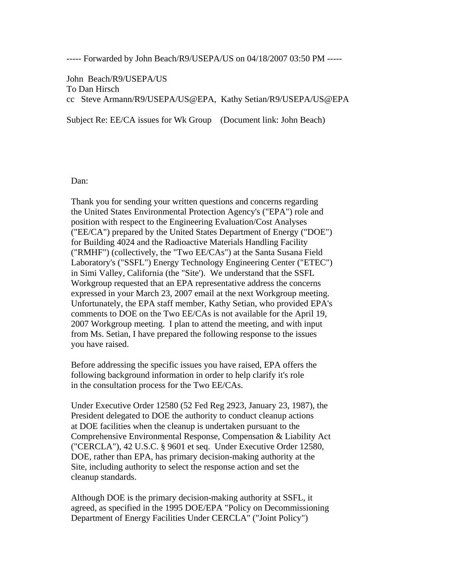----- Forwarded by John Beach/R9/USEPA/US on 04/18/2007 03:50 PM -----

John Beach/R9/USEPA/US To Dan Hirsch cc Steve Armann/R9/USEPA/US@EPA, Kathy Setian/R9/USEPA/US@EPA

Subject Re: EE/CA issues for Wk Group (Document link: John Beach)

Dan:

 Thank you for sending your written questions and concerns regarding the United States Environmental Protection Agency's ("EPA") role and position with respect to the Engineering Evaluation/Cost Analyses ("EE/CA") prepared by the United States Department of Energy ("DOE") for Building 4024 and the Radioactive Materials Handling Facility ("RMHF") (collectively, the "Two EE/CAs") at the Santa Susana Field Laboratory's ("SSFL") Energy Technology Engineering Center ("ETEC") in Simi Valley, California (the "Site'). We understand that the SSFL Workgroup requested that an EPA representative address the concerns expressed in your March 23, 2007 email at the next Workgroup meeting. Unfortunately, the EPA staff member, Kathy Setian, who provided EPA's comments to DOE on the Two EE/CAs is not available for the April 19, 2007 Workgroup meeting. I plan to attend the meeting, and with input from Ms. Setian, I have prepared the following response to the issues you have raised.

 Before addressing the specific issues you have raised, EPA offers the following background information in order to help clarify it's role in the consultation process for the Two EE/CAs.

 Under Executive Order 12580 (52 Fed Reg 2923, January 23, 1987), the President delegated to DOE the authority to conduct cleanup actions at DOE facilities when the cleanup is undertaken pursuant to the Comprehensive Environmental Response, Compensation & Liability Act ("CERCLA"), 42 U.S.C. § 9601 et seq. Under Executive Order 12580, DOE, rather than EPA, has primary decision-making authority at the Site, including authority to select the response action and set the cleanup standards.

 Although DOE is the primary decision-making authority at SSFL, it agreed, as specified in the 1995 DOE/EPA "Policy on Decommissioning Department of Energy Facilities Under CERCLA" ("Joint Policy")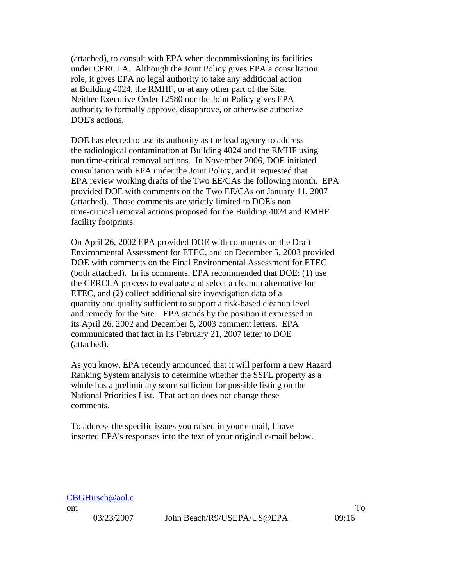(attached), to consult with EPA when decommissioning its facilities under CERCLA. Although the Joint Policy gives EPA a consultation role, it gives EPA no legal authority to take any additional action at Building 4024, the RMHF, or at any other part of the Site. Neither Executive Order 12580 nor the Joint Policy gives EPA authority to formally approve, disapprove, or otherwise authorize DOE's actions.

 DOE has elected to use its authority as the lead agency to address the radiological contamination at Building 4024 and the RMHF using non time-critical removal actions. In November 2006, DOE initiated consultation with EPA under the Joint Policy, and it requested that EPA review working drafts of the Two EE/CAs the following month. EPA provided DOE with comments on the Two EE/CAs on January 11, 2007 (attached). Those comments are strictly limited to DOE's non time-critical removal actions proposed for the Building 4024 and RMHF facility footprints.

 On April 26, 2002 EPA provided DOE with comments on the Draft Environmental Assessment for ETEC, and on December 5, 2003 provided DOE with comments on the Final Environmental Assessment for ETEC (both attached). In its comments, EPA recommended that DOE: (1) use the CERCLA process to evaluate and select a cleanup alternative for ETEC, and (2) collect additional site investigation data of a quantity and quality sufficient to support a risk-based cleanup level and remedy for the Site. EPA stands by the position it expressed in its April 26, 2002 and December 5, 2003 comment letters. EPA communicated that fact in its February 21, 2007 letter to DOE (attached).

 As you know, EPA recently announced that it will perform a new Hazard Ranking System analysis to determine whether the SSFL property as a whole has a preliminary score sufficient for possible listing on the National Priorities List. That action does not change these comments.

 To address the specific issues you raised in your e-mail, I have inserted EPA's responses into the text of your original e-mail below.

| CBGHirsch@aol.c |
|-----------------|
|                 |

03/23/2007 John Beach/R9/USEPA/US@EPA 09:16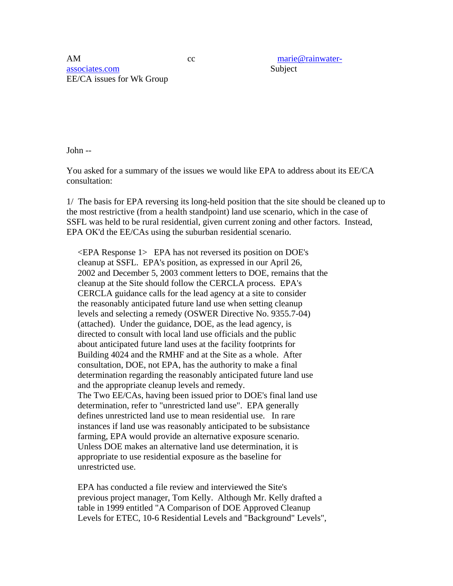AM cc marie@rainwaterassociates.com Subject EE/CA issues for Wk Group

John --

You asked for a summary of the issues we would like EPA to address about its EE/CA consultation:

1/ The basis for EPA reversing its long-held position that the site should be cleaned up to the most restrictive (from a health standpoint) land use scenario, which in the case of SSFL was held to be rural residential, given current zoning and other factors. Instead, EPA OK'd the EE/CAs using the suburban residential scenario.

 <EPA Response 1> EPA has not reversed its position on DOE's cleanup at SSFL. EPA's position, as expressed in our April 26, 2002 and December 5, 2003 comment letters to DOE, remains that the cleanup at the Site should follow the CERCLA process. EPA's CERCLA guidance calls for the lead agency at a site to consider the reasonably anticipated future land use when setting cleanup levels and selecting a remedy (OSWER Directive No. 9355.7-04) (attached). Under the guidance, DOE, as the lead agency, is directed to consult with local land use officials and the public about anticipated future land uses at the facility footprints for Building 4024 and the RMHF and at the Site as a whole. After consultation, DOE, not EPA, has the authority to make a final determination regarding the reasonably anticipated future land use and the appropriate cleanup levels and remedy. The Two EE/CAs, having been issued prior to DOE's final land use determination, refer to "unrestricted land use". EPA generally defines unrestricted land use to mean residential use. In rare instances if land use was reasonably anticipated to be subsistance farming, EPA would provide an alternative exposure scenario. Unless DOE makes an alternative land use determination, it is appropriate to use residential exposure as the baseline for unrestricted use.

 EPA has conducted a file review and interviewed the Site's previous project manager, Tom Kelly. Although Mr. Kelly drafted a table in 1999 entitled "A Comparison of DOE Approved Cleanup Levels for ETEC, 10-6 Residential Levels and "Background" Levels",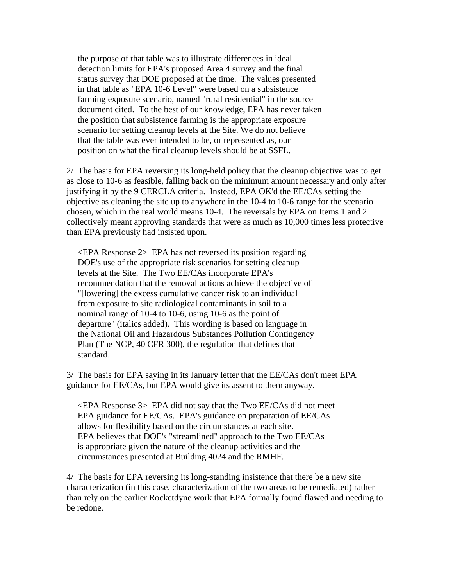the purpose of that table was to illustrate differences in ideal detection limits for EPA's proposed Area 4 survey and the final status survey that DOE proposed at the time. The values presented in that table as "EPA 10-6 Level" were based on a subsistence farming exposure scenario, named "rural residential" in the source document cited. To the best of our knowledge, EPA has never taken the position that subsistence farming is the appropriate exposure scenario for setting cleanup levels at the Site. We do not believe that the table was ever intended to be, or represented as, our position on what the final cleanup levels should be at SSFL.

2/ The basis for EPA reversing its long-held policy that the cleanup objective was to get as close to 10-6 as feasible, falling back on the minimum amount necessary and only after justifying it by the 9 CERCLA criteria. Instead, EPA OK'd the EE/CAs setting the objective as cleaning the site up to anywhere in the 10-4 to 10-6 range for the scenario chosen, which in the real world means 10-4. The reversals by EPA on Items 1 and 2 collectively meant approving standards that were as much as 10,000 times less protective than EPA previously had insisted upon.

 <EPA Response 2> EPA has not reversed its position regarding DOE's use of the appropriate risk scenarios for setting cleanup levels at the Site. The Two EE/CAs incorporate EPA's recommendation that the removal actions achieve the objective of "[lowering] the excess cumulative cancer risk to an individual from exposure to site radiological contaminants in soil to a nominal range of 10-4 to 10-6, using 10-6 as the point of departure" (italics added). This wording is based on language in the National Oil and Hazardous Substances Pollution Contingency Plan (The NCP, 40 CFR 300), the regulation that defines that standard.

3/ The basis for EPA saying in its January letter that the EE/CAs don't meet EPA guidance for EE/CAs, but EPA would give its assent to them anyway.

 $\leq$ EPA Response 3> EPA did not say that the Two EE/CAs did not meet EPA guidance for EE/CAs. EPA's guidance on preparation of EE/CAs allows for flexibility based on the circumstances at each site. EPA believes that DOE's "streamlined" approach to the Two EE/CAs is appropriate given the nature of the cleanup activities and the circumstances presented at Building 4024 and the RMHF.

4/ The basis for EPA reversing its long-standing insistence that there be a new site characterization (in this case, characterization of the two areas to be remediated) rather than rely on the earlier Rocketdyne work that EPA formally found flawed and needing to be redone.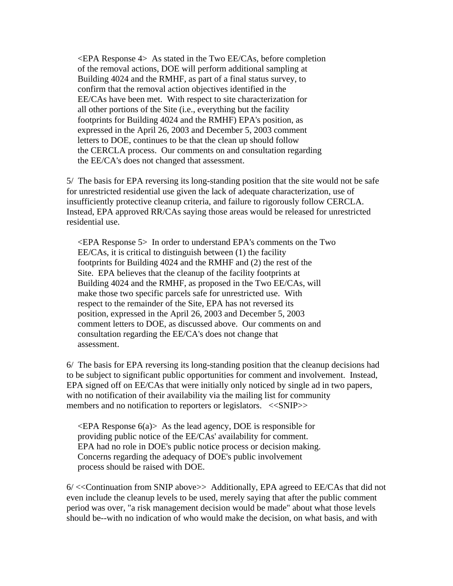<EPA Response 4> As stated in the Two EE/CAs, before completion of the removal actions, DOE will perform additional sampling at Building 4024 and the RMHF, as part of a final status survey, to confirm that the removal action objectives identified in the EE/CAs have been met. With respect to site characterization for all other portions of the Site (i.e., everything but the facility footprints for Building 4024 and the RMHF) EPA's position, as expressed in the April 26, 2003 and December 5, 2003 comment letters to DOE, continues to be that the clean up should follow the CERCLA process. Our comments on and consultation regarding the EE/CA's does not changed that assessment.

5/ The basis for EPA reversing its long-standing position that the site would not be safe for unrestricted residential use given the lack of adequate characterization, use of insufficiently protective cleanup criteria, and failure to rigorously follow CERCLA. Instead, EPA approved RR/CAs saying those areas would be released for unrestricted residential use.

 <EPA Response 5> In order to understand EPA's comments on the Two EE/CAs, it is critical to distinguish between (1) the facility footprints for Building 4024 and the RMHF and (2) the rest of the Site. EPA believes that the cleanup of the facility footprints at Building 4024 and the RMHF, as proposed in the Two EE/CAs, will make those two specific parcels safe for unrestricted use. With respect to the remainder of the Site, EPA has not reversed its position, expressed in the April 26, 2003 and December 5, 2003 comment letters to DOE, as discussed above. Our comments on and consultation regarding the EE/CA's does not change that assessment.

6/ The basis for EPA reversing its long-standing position that the cleanup decisions had to be subject to significant public opportunities for comment and involvement. Instead, EPA signed off on EE/CAs that were initially only noticed by single ad in two papers, with no notification of their availability via the mailing list for community members and no notification to reporters or legislators. <<SNIP>>

 $\leq$ EPA Response 6(a) $> A$ s the lead agency, DOE is responsible for providing public notice of the EE/CAs' availability for comment. EPA had no role in DOE's public notice process or decision making. Concerns regarding the adequacy of DOE's public involvement process should be raised with DOE.

6/ <<Continuation from SNIP above>> Additionally, EPA agreed to EE/CAs that did not even include the cleanup levels to be used, merely saying that after the public comment period was over, "a risk management decision would be made" about what those levels should be--with no indication of who would make the decision, on what basis, and with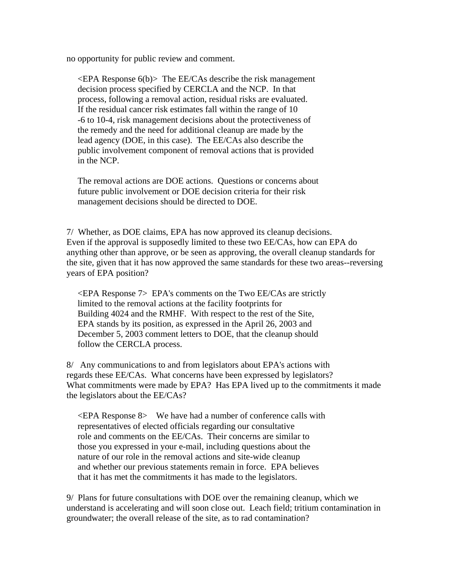no opportunity for public review and comment.

 $\leq$ EPA Response 6(b) $>$  The EE/CAs describe the risk management decision process specified by CERCLA and the NCP. In that process, following a removal action, residual risks are evaluated. If the residual cancer risk estimates fall within the range of 10 -6 to 10-4, risk management decisions about the protectiveness of the remedy and the need for additional cleanup are made by the lead agency (DOE, in this case). The EE/CAs also describe the public involvement component of removal actions that is provided in the NCP.

 The removal actions are DOE actions. Questions or concerns about future public involvement or DOE decision criteria for their risk management decisions should be directed to DOE.

7/ Whether, as DOE claims, EPA has now approved its cleanup decisions. Even if the approval is supposedly limited to these two EE/CAs, how can EPA do anything other than approve, or be seen as approving, the overall cleanup standards for the site, given that it has now approved the same standards for these two areas--reversing years of EPA position?

 $\leq$ EPA Response 7> EPA's comments on the Two EE/CAs are strictly limited to the removal actions at the facility footprints for Building 4024 and the RMHF. With respect to the rest of the Site, EPA stands by its position, as expressed in the April 26, 2003 and December 5, 2003 comment letters to DOE, that the cleanup should follow the CERCLA process.

8/ Any communications to and from legislators about EPA's actions with regards these EE/CAs. What concerns have been expressed by legislators? What commitments were made by EPA? Has EPA lived up to the commitments it made the legislators about the EE/CAs?

 $\leq$ EPA Response 8> We have had a number of conference calls with representatives of elected officials regarding our consultative role and comments on the EE/CAs. Their concerns are similar to those you expressed in your e-mail, including questions about the nature of our role in the removal actions and site-wide cleanup and whether our previous statements remain in force. EPA believes that it has met the commitments it has made to the legislators.

9/ Plans for future consultations with DOE over the remaining cleanup, which we understand is accelerating and will soon close out. Leach field; tritium contamination in groundwater; the overall release of the site, as to rad contamination?